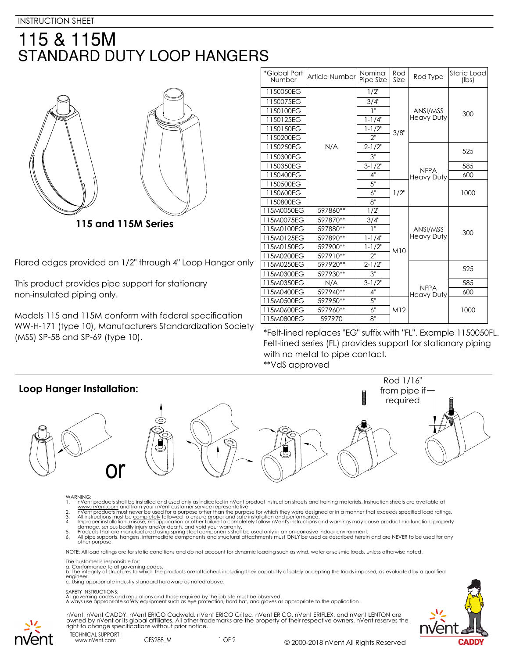## 115 & 115M **STANDARD DUTY LOOP HANGERS**



Flared edges provided on 1/2" through 4" Loop Hanger only

This product provides pipe support for stationary non-insulated piping only.

Models 115 and 115M conform with federal specification WW-H-171 (type 10), Manufacturers Standardization Society

| *Global Part<br><b>Number</b> | Article Number | Nominal<br>Pipe Size | Rod<br>Size | Rod Type                         | Static Load<br>(lbs) |
|-------------------------------|----------------|----------------------|-------------|----------------------------------|----------------------|
| 1150050EG                     | N/A            | $1/2$ "              | 3/8"        | ANSI/MSS<br><b>Heavy Duty</b>    | 300                  |
| 1150075EG                     |                | 3/4"                 |             |                                  |                      |
| 1150100EG                     |                | 1"                   |             |                                  |                      |
| 1150125EG                     |                | $1 - 1/4"$           |             |                                  |                      |
| 1150150EG                     |                | $1 - 1/2"$           |             |                                  |                      |
| 1150200EG                     |                | 2"                   |             |                                  |                      |
| 1150250EG                     |                | $2 - 1/2"$           |             | <b>NFPA</b><br><b>Heavy Duty</b> | 525                  |
| 1150300EG                     |                | 3"                   |             |                                  |                      |
| 1150350EG                     |                | $3-1/2"$             |             |                                  | 585                  |
| 1150400EG                     |                | 4"                   |             |                                  | 600                  |
| 1150500EG                     |                | 5"                   | $1/2$ "     |                                  | 1000                 |
| 1150600EG                     |                | 6"                   |             |                                  |                      |
| 1150800EG                     |                | 8"                   |             |                                  |                      |
| 115M0050EG                    | 597860**       | $1/2$ "              | M10         | ANSI/MSS<br><b>Heavy Duty</b>    | 300                  |
| 115M0075EG                    | 597870**       | 3/4"                 |             |                                  |                      |
| 115M0100EG                    | 597880**       | 1"                   |             |                                  |                      |
| 115M0125EG                    | 597890**       | $1 - 1/4"$           |             |                                  |                      |
| 115M0150EG                    | 597900**       | $1 - 1/2"$           |             |                                  |                      |
| 115M0200EG                    | 597910**       | 2"                   |             |                                  |                      |
| 115M0250EG                    | 597920**       | $2 - 1/2"$           |             | <b>NFPA</b><br><b>Heavy Duty</b> | 525                  |
| 115M0300EG                    | 597930**       | 3"                   |             |                                  |                      |
| 115M0350EG                    | N/A            | $3 - 1/2"$           |             |                                  | 585                  |
| 115M0400EG                    | 597940**       | 4"                   |             |                                  | 600                  |
| 115M0500EG                    | 597950**       | 5"                   | M12         |                                  | 1000                 |
| 115M0600EG                    | 597960**       | 6"                   |             |                                  |                      |
| 115M0800EG                    | 597970         | 8"                   |             |                                  |                      |

(MSS) SP-58 and SP-69 (type 10). \*Felt-lined replaces "EG" suffix with "FL". Example 1150050FL. Felt-lined series (FL) provides support for stationary piping with no metal to pipe contact. \*\*VdS approved



- 
- 
- 
- WARNING:<br>
1. NYent products shall be installed and used only as indicated in nVent product instruction sheets and training materials. Instruction sheets are available at<br>
1. www.nVent.com and from your nVent customer servi

NOTE: All load ratings are for static conditions and do not account for dynamic loading such as wind, water or seismic loads, unless otherwise noted.

- The customer is responsible for:
- 

a. Conformance to all governing codes.<br>b. The integrity of structures to which the products are attached, including their capability of safely accepting the loads imposed, as evaluated by a qualified engineer. c. Using appropriate industry standard hardware as noted above.

## SAFETY INSTRUCTIONS:

All governing codes and regulations and those required by the job site must be observed. Always use appropriate safety equipment such as eye protection, hard hat, and gloves as appropriate to the application.







www.nVent.com CFS288 M

1 OF 2 © 2000-2018 nVent All Rights Reserved